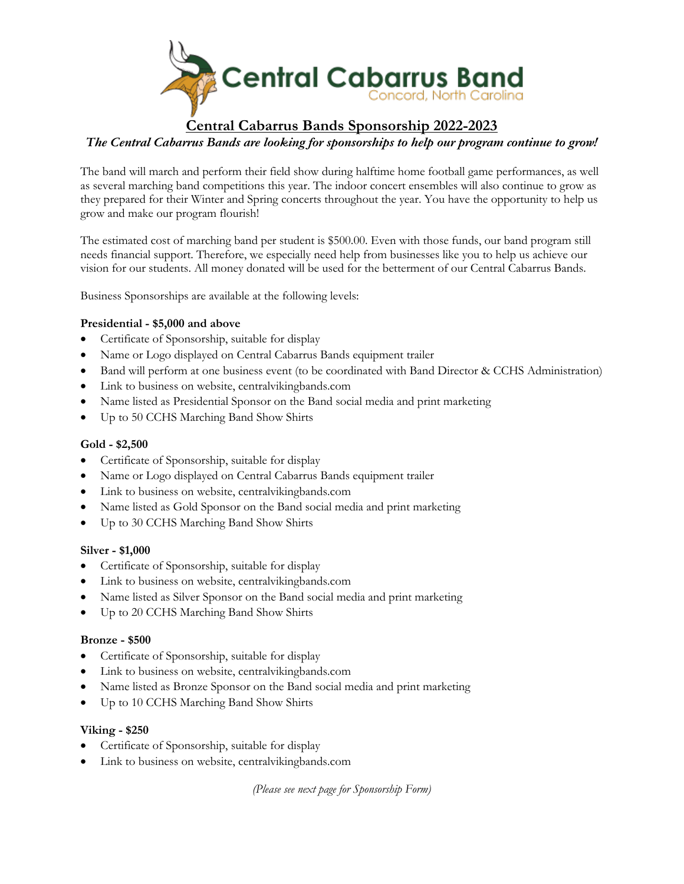

## **Central Cabarrus Bands Sponsorship 2022-2023**

*The Central Cabarrus Bands are looking for sponsorships to help our program continue to grow!*

The band will march and perform their field show during halftime home football game performances, as well as several marching band competitions this year. The indoor concert ensembles will also continue to grow as they prepared for their Winter and Spring concerts throughout the year. You have the opportunity to help us grow and make our program flourish!

The estimated cost of marching band per student is \$500.00. Even with those funds, our band program still needs financial support. Therefore, we especially need help from businesses like you to help us achieve our vision for our students. All money donated will be used for the betterment of our Central Cabarrus Bands.

Business Sponsorships are available at the following levels:

### **Presidential - \$5,000 and above**

- Certificate of Sponsorship, suitable for display
- Name or Logo displayed on Central Cabarrus Bands equipment trailer
- Band will perform at one business event (to be coordinated with Band Director & CCHS Administration)
- Link to business on website, centralvikingbands.com
- Name listed as Presidential Sponsor on the Band social media and print marketing
- Up to 50 CCHS Marching Band Show Shirts

### **Gold - \$2,500**

- Certificate of Sponsorship, suitable for display
- Name or Logo displayed on Central Cabarrus Bands equipment trailer
- Link to business on website, centralvikingbands.com
- Name listed as Gold Sponsor on the Band social media and print marketing
- Up to 30 CCHS Marching Band Show Shirts

### **Silver - \$1,000**

- Certificate of Sponsorship, suitable for display
- Link to business on website, centralvikingbands.com
- Name listed as Silver Sponsor on the Band social media and print marketing
- Up to 20 CCHS Marching Band Show Shirts

### **Bronze - \$500**

- Certificate of Sponsorship, suitable for display
- Link to business on website, centralvikingbands.com
- Name listed as Bronze Sponsor on the Band social media and print marketing
- Up to 10 CCHS Marching Band Show Shirts

### **Viking - \$250**

- Certificate of Sponsorship, suitable for display
- Link to business on website, centralvikingbands.com

*(Please see next page for Sponsorship Form)*